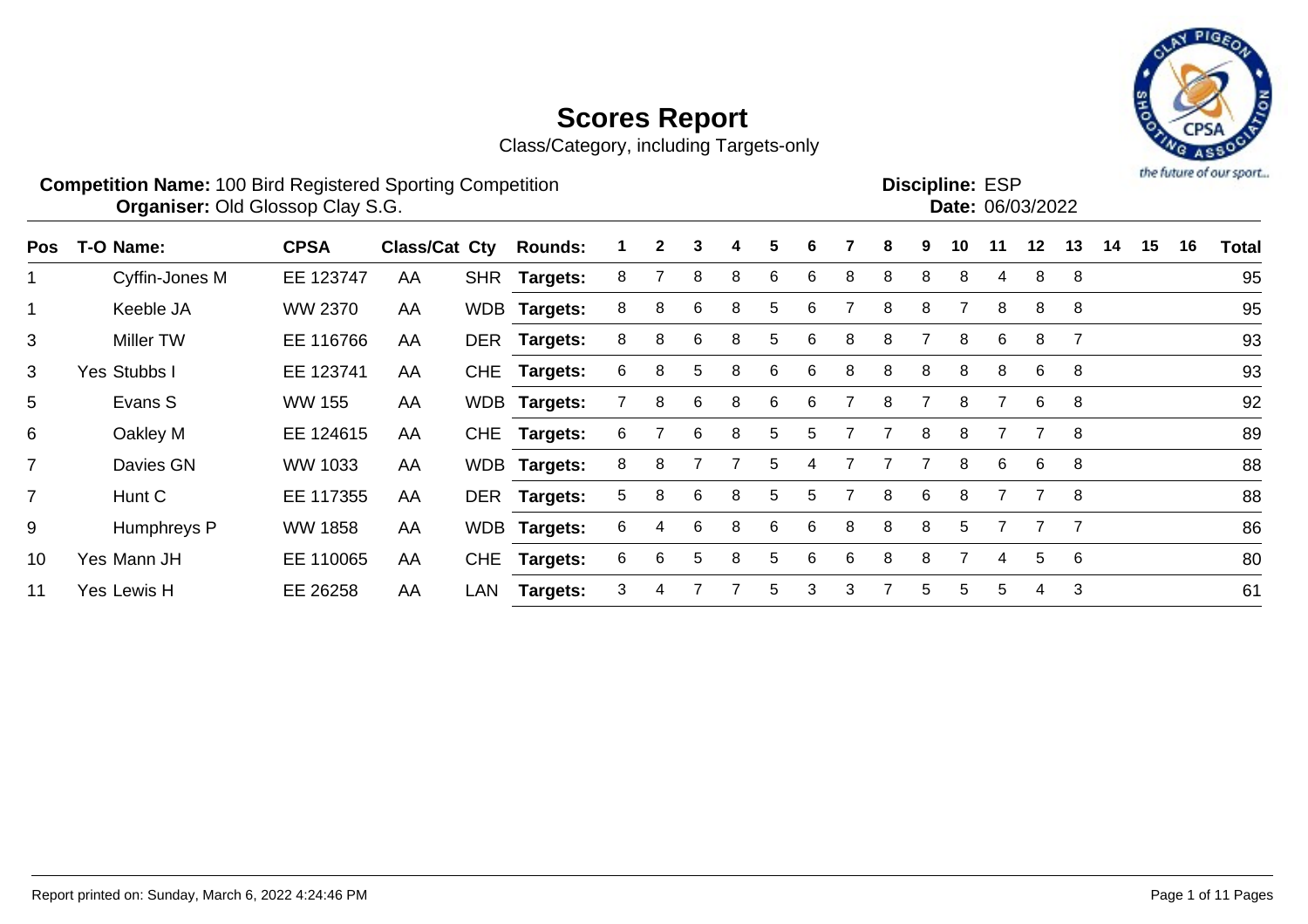Class/Category, including Targets-only



#### **Competition Name:** 100 Bird Registered Sporting Competition **EXP EXP Competition EXP Organiser:** Old Glossop Clay S.G. **Community Contract Contract Contract Contract Contract Contract Contract Contract Contract Contract Contract Contract Contract Contract Contract Contract Contract Contract Contract Contr** Discipline: ESP<br>Date: 06/03/2022

| Pos            | T-O Name:      | <b>CPSA</b>    | <b>Class/Cat Cty</b> |     | <b>Rounds:</b>  | 1. | $\mathbf{2}$ | 3 | 4 | 5 | 6 |   | 8 | 9 | 10 | 11 | 12 | 13 | 14 | 15 | 16 | <b>Total</b> |
|----------------|----------------|----------------|----------------------|-----|-----------------|----|--------------|---|---|---|---|---|---|---|----|----|----|----|----|----|----|--------------|
| $\mathbf 1$    | Cyffin-Jones M | EE 123747      | AA                   |     | SHR Targets:    | 8  |              | 8 | 8 | 6 | 6 | 8 | 8 | 8 | 8  | 4  | 8  | -8 |    |    |    | 95           |
| $\mathbf 1$    | Keeble JA      | WW 2370        | AA                   |     | WDB Targets:    | 8  | 8            | 6 | 8 | 5 | 6 |   | 8 | 8 |    | 8  | 8  | 8  |    |    |    | 95           |
| 3              | Miller TW      | EE 116766      | AA                   |     | DER Targets:    | 8  | 8            | 6 | 8 | 5 | 6 | 8 | 8 |   | 8  | 6  | 8  |    |    |    |    | 93           |
| 3              | Yes Stubbs I   | EE 123741      | AA                   |     | CHE Targets:    | 6  | 8            | 5 | 8 | 6 | 6 | 8 | 8 | 8 | 8  | 8  | 6  | 8  |    |    |    | 93           |
| 5              | Evans S        | <b>WW 155</b>  | AA                   |     | WDB Targets:    |    | 8            | 6 | 8 | 6 | 6 |   | 8 |   | 8  |    | 6  | -8 |    |    |    | 92           |
| 6              | Oakley M       | EE 124615      | AA                   |     | CHE Targets:    | 6  |              | 6 | 8 | 5 | 5 |   |   | 8 | 8  |    |    | -8 |    |    |    | 89           |
| $\overline{7}$ | Davies GN      | WW 1033        | AA                   |     | WDB Targets:    | 8  | 8            |   |   | 5 |   |   |   |   | 8  | 6  | 6  | 8  |    |    |    | 88           |
| $\overline{7}$ | Hunt C         | EE 117355      | AA                   |     | DER Targets:    | 5  | 8            | 6 | 8 | 5 | 5 |   | 8 | 6 | 8  |    |    | -8 |    |    |    | 88           |
| 9              | Humphreys P    | <b>WW 1858</b> | AA                   |     | WDB Targets:    | 6  | 4            | 6 | 8 | 6 | 6 | 8 | 8 | 8 | 5. |    |    |    |    |    |    | 86           |
| 10             | Yes Mann JH    | EE 110065      | AA                   | CHE | <b>Targets:</b> | 6  | 6            | 5 | 8 | 5 | 6 | 6 | 8 | 8 |    | 4  | 5  | -6 |    |    |    | 80           |
| 11             | Yes Lewis H    | EE 26258       | AA                   | LAN | <b>Targets:</b> | 3  |              |   |   | 5 | 3 | 3 |   | 5 | 5  | 5  | 4  | -3 |    |    |    | 61           |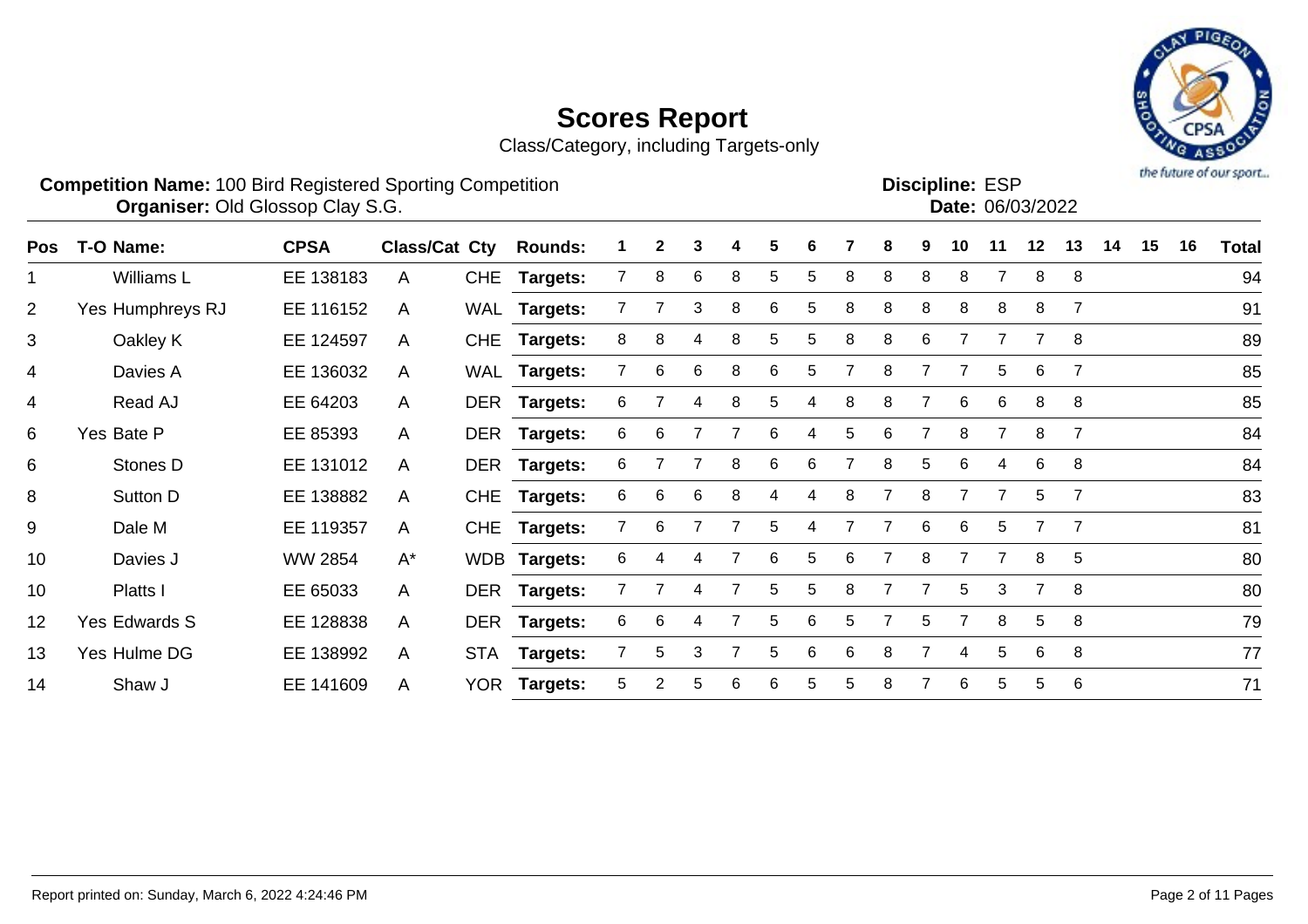Class/Category, including Targets-only



#### **Competition Name:** 100 Bird Registered Sporting Competition **EXP EXP Competition EXP Organiser:** Old Glossop Clay S.G. **Community Contract Contract Contract Contract Contract Contract Contract Contract Contract Contract Contract Contract Contract Contract Contract Contract Contract Contract Contract Contr**

| <b>Discipline: ESP</b> |                  |
|------------------------|------------------|
|                        | Date: 06/03/2022 |
|                        |                  |

| <b>Pos</b>     | T-O Name:        | <b>CPSA</b>    | Class/Cat Cty |            | <b>Rounds:</b>  |                | $\mathbf{2}$ | 3 | 4 | 5 | 6 |   | 8 | 9 | 10 | 11 | 12 | 13             | 14 | 15 | 16 | Total |
|----------------|------------------|----------------|---------------|------------|-----------------|----------------|--------------|---|---|---|---|---|---|---|----|----|----|----------------|----|----|----|-------|
|                | Williams L       | EE 138183      | A             | <b>CHE</b> | Targets:        |                | 8            | 6 | 8 | 5 | 5 | 8 | 8 | 8 | 8  |    | 8  | 8              |    |    |    | 94    |
| $\overline{2}$ | Yes Humphreys RJ | EE 116152      | A             |            | WAL Targets:    |                |              | 3 | 8 | 6 | 5 | 8 | 8 | 8 | 8  | 8  | 8  | $\overline{7}$ |    |    |    | 91    |
| 3              | Oakley K         | EE 124597      | A             | <b>CHE</b> | <b>Targets:</b> | 8              | 8            |   | 8 | 5 | 5 | 8 | 8 | 6 |    |    |    | 8              |    |    |    | 89    |
| 4              | Davies A         | EE 136032      | A             |            | WAL Targets:    |                | 6            | 6 | 8 | 6 | 5 |   | 8 |   |    | 5  | 6  | $\overline{7}$ |    |    |    | 85    |
| 4              | Read AJ          | EE 64203       | $\mathsf{A}$  |            | DER Targets:    | 6              |              |   | 8 | 5 | 4 | 8 | 8 |   | 6  | 6  | 8  | 8              |    |    |    | 85    |
| 6              | Yes Bate P       | EE 85393       | $\mathsf{A}$  |            | DER Targets:    | 6              | 6            |   |   | 6 | 4 | 5 | 6 |   | 8  | 7  | 8  | $\overline{7}$ |    |    |    | 84    |
| 6              | Stones D         | EE 131012      | A             |            | DER Targets:    | 6              |              |   | 8 | 6 | 6 |   | 8 | 5 | 6  | 4  | 6  | -8             |    |    |    | 84    |
| 8              | Sutton D         | EE 138882      | A             | <b>CHE</b> | Targets:        | 6              | 6            | 6 | 8 | 4 | 4 | 8 |   | 8 |    |    | 5  | $\overline{7}$ |    |    |    | 83    |
| 9              | Dale M           | EE 119357      | A             |            | CHE Targets:    |                | 6            |   |   | 5 | 4 |   |   | 6 | 6  | 5  |    | 7              |    |    |    | 81    |
| 10             | Davies J         | <b>WW 2854</b> | $A^*$         |            | WDB Targets:    | 6              | 4            | 4 |   | 6 | 5 | 6 |   | 8 |    |    | 8  | 5              |    |    |    | 80    |
| 10             | Platts I         | EE 65033       | A             |            | DER Targets:    |                |              |   |   | 5 | 5 | 8 |   |   | 5. | 3  |    | 8              |    |    |    | 80    |
| 12             | Yes Edwards S    | EE 128838      | A             |            | DER Targets:    | 6              | 6            | 4 |   | 5 | 6 | 5 |   | 5 | 7  | 8  | 5  | 8              |    |    |    | 79    |
| 13             | Yes Hulme DG     | EE 138992      | A             |            | STA Targets:    | $\overline{7}$ | 5            | 3 |   | 5 | 6 | 6 | 8 |   | 4  | 5  | 6  | 8              |    |    |    | 77    |
| 14             | Shaw J           | EE 141609      | A             |            | YOR Targets:    | 5              | 2            | 5 | 6 | 6 | 5 | 5 | 8 |   | 6  | 5  | 5  | 6              |    |    |    | 71    |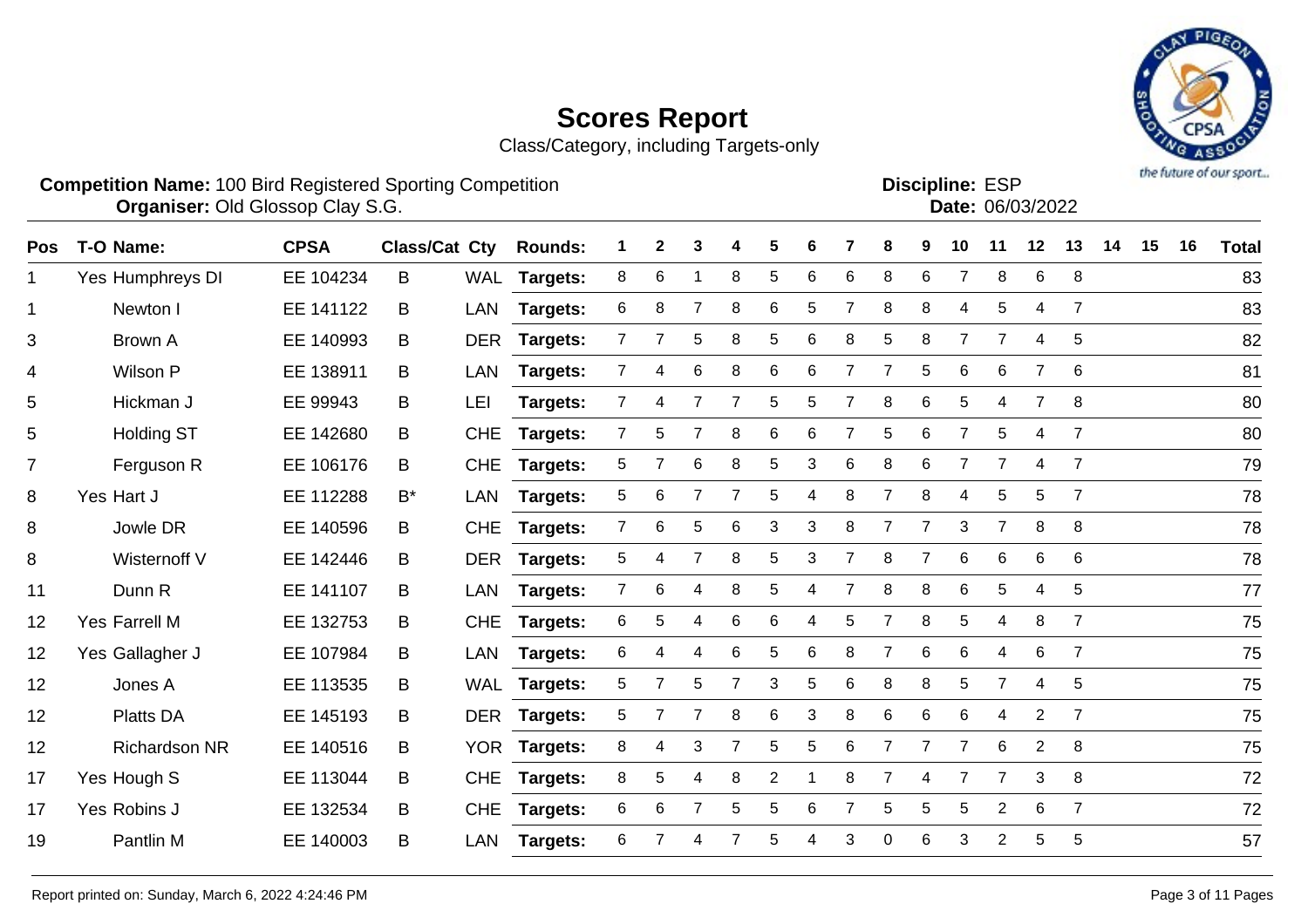Class/Category, including Targets-only



**Competition Name:** 100 Bird Registered Sporting Competition **EXP EXP Competition EXP Organiser:** Old Glossop Clay S.G. **Community Contract Contract Contract Contract Contract Contract Contract Contract Contract Contract Contract Contract Contract Contract Contract Contract Contract Contract Contract Contr** 

**Discipline:**

| ו∪∟ .הטוויוקוטכ |                  |
|-----------------|------------------|
|                 | Date: 06/03/2022 |
|                 |                  |

| <b>Pos</b>     | T-O Name:            | <b>CPSA</b> | <b>Class/Cat Cty</b> |            | <b>Rounds:</b>  |                | 2              | 3              |                | 5              | 6 |                | 8              | 9              | 10             | 11             | 12             | 13             | 14 | 15 | 16 | <b>Total</b> |
|----------------|----------------------|-------------|----------------------|------------|-----------------|----------------|----------------|----------------|----------------|----------------|---|----------------|----------------|----------------|----------------|----------------|----------------|----------------|----|----|----|--------------|
| 1              | Yes Humphreys DI     | EE 104234   | B                    |            | WAL Targets:    | 8              | 6              |                | 8              | 5              | 6 | 6              | 8              | 6              | $\overline{7}$ | 8              | 6              | 8              |    |    |    | 83           |
| $\mathbf{1}$   | Newton I             | EE 141122   | B                    | <b>LAN</b> | Targets:        | 6              | 8              |                | 8              | 6              | 5 |                | 8              | 8              | 4              | 5              | 4              | $\overline{7}$ |    |    |    | 83           |
| 3              | <b>Brown A</b>       | EE 140993   | B                    | <b>DER</b> | <b>Targets:</b> | $\overline{7}$ |                | 5              | 8              | 5              | 6 | 8              | 5              | 8              | $\overline{7}$ | $\overline{7}$ | 4              | 5              |    |    |    | 82           |
| 4              | Wilson P             | EE 138911   | B                    | LAN        | <b>Targets:</b> | $\overline{7}$ | 4              | 6              | 8              | 6              | 6 | $\overline{7}$ | 7              | 5              | 6              | 6              | 7              | 6              |    |    |    | 81           |
| 5              | Hickman J            | EE 99943    | B                    | LEI        | Targets:        | $\overline{7}$ | 4              |                | 7              | 5              | 5 | $\overline{7}$ | 8              | 6              | 5              | 4              | $\overline{7}$ | 8              |    |    |    | 80           |
| 5              | <b>Holding ST</b>    | EE 142680   | B                    | <b>CHE</b> | Targets:        | $\overline{7}$ | 5              |                | 8              | 6              | 6 | $\overline{7}$ | 5              | $6\phantom{1}$ | $\overline{7}$ | 5              | 4              | $\overline{7}$ |    |    |    | 80           |
| $\overline{7}$ | Ferguson R           | EE 106176   | B                    | <b>CHE</b> | Targets:        | 5              | $\overline{7}$ | 6              | 8              | 5              | 3 | 6              | 8              | 6              | $\overline{7}$ | $\overline{7}$ | 4              | $\overline{7}$ |    |    |    | 79           |
| 8              | Yes Hart J           | EE 112288   | $B^*$                | <b>LAN</b> | <b>Targets:</b> | 5              | 6              |                | 7              | 5              | 4 | 8              | $\overline{7}$ | 8              | 4              | 5              | 5              | $\overline{7}$ |    |    |    | 78           |
| 8              | Jowle DR             | EE 140596   | B                    | <b>CHE</b> | Targets:        | $\overline{7}$ | 6              | 5              | 6              | 3              | 3 | 8              | $\overline{7}$ | $\overline{7}$ | 3              | $\overline{7}$ | 8              | 8              |    |    |    | 78           |
| 8              | Wisternoff V         | EE 142446   | B                    | <b>DER</b> | Targets:        | 5              | 4              | $\overline{7}$ | 8              | 5              | 3 |                | 8              | 7              | 6              | 6              | 6              | 6              |    |    |    | 78           |
| 11             | Dunn R               | EE 141107   | B                    | <b>LAN</b> | <b>Targets:</b> | $\overline{7}$ | 6              | 4              | 8              | 5              | 4 | 7              | 8              | 8              | 6              | 5              | 4              | 5              |    |    |    | 77           |
| 12             | Yes Farrell M        | EE 132753   | B                    | <b>CHE</b> | <b>Targets:</b> | 6              | 5              | 4              | 6              | 6              | 4 | 5              | 7              | 8              | 5              | 4              | 8              | $\overline{7}$ |    |    |    | 75           |
| 12             | Yes Gallagher J      | EE 107984   | В                    | <b>LAN</b> | Targets:        | 6              | 4              | 4              | 6              | 5              | 6 | 8              | $\overline{7}$ | 6              | 6              | 4              | 6              | $\overline{7}$ |    |    |    | 75           |
| 12             | Jones A              | EE 113535   | B                    |            | WAL Targets:    | 5              | $\overline{7}$ | 5              | $\overline{7}$ | 3              | 5 | 6              | 8              | 8              | 5              | $\overline{7}$ | 4              | 5              |    |    |    | 75           |
| 12             | <b>Platts DA</b>     | EE 145193   | B                    | DER        | Targets:        | 5              | $\overline{7}$ |                | 8              | 6              | 3 | 8              | 6              | 6              | 6              | 4              | 2              | $\overline{7}$ |    |    |    | 75           |
| 12             | <b>Richardson NR</b> | EE 140516   | B                    | <b>YOR</b> | <b>Targets:</b> | 8              | 4              | 3              | $\overline{7}$ | 5              | 5 | 6              | $\overline{7}$ | $\overline{7}$ | $\overline{7}$ | 6              | $\overline{2}$ | 8              |    |    |    | 75           |
| 17             | Yes Hough S          | EE 113044   | В                    | <b>CHE</b> | Targets:        | 8              | 5              | 4              | 8              | $\overline{2}$ |   | 8              | 7              | 4              | $\overline{7}$ | 7              | 3              | 8              |    |    |    | 72           |
| 17             | Yes Robins J         | EE 132534   | B                    | <b>CHE</b> | Targets:        | 6              | 6              |                | 5              | 5              | 6 |                | 5              | 5              | 5              | $\overline{2}$ | 6              | $\overline{7}$ |    |    |    | 72           |
| 19             | Pantlin M            | EE 140003   | B                    | <b>LAN</b> | <b>Targets:</b> | 6              |                | 4              |                |                |   | 3              | 0              | 6              | 3              | $\overline{2}$ | 5              | 5              |    |    |    | 57           |
|                |                      |             |                      |            |                 |                |                |                |                |                |   |                |                |                |                |                |                |                |    |    |    |              |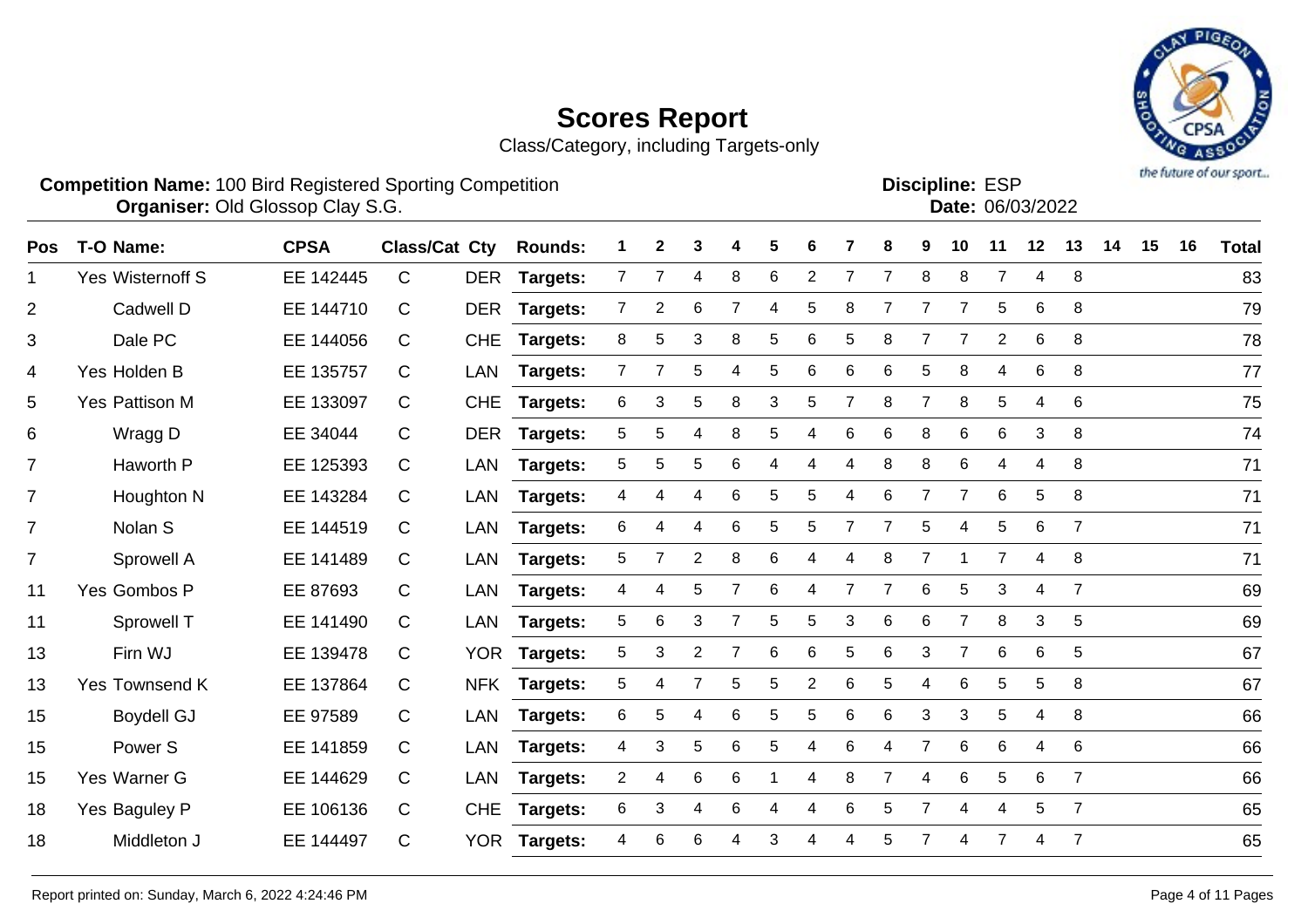Class/Category, including Targets-only



#### **Competition Name:** 100 Bird Registered Sporting Competition **EXP EXP Competition EXP Organiser:** Old Glossop Clay S.G. **Community Contract Contract Contract Contract Contract Contract Contract Contract Contract Contract Contract Contract Contract Contract Contract Contract Contract Contract Contract Contr**

| <b>Discipline: ESP</b> |                  |
|------------------------|------------------|
|                        | Date: 06/03/2022 |
|                        |                  |

| <b>Pos</b>     | T-O Name:          | <b>CPSA</b> | <b>Class/Cat Cty</b> |            | <b>Rounds:</b>  |                | 2              | 3              | 4 | 5 | 6              |                | 8              | 9              | 10             | 11             | 12             | 13             | 14 | 15 | 16 | <b>Total</b> |
|----------------|--------------------|-------------|----------------------|------------|-----------------|----------------|----------------|----------------|---|---|----------------|----------------|----------------|----------------|----------------|----------------|----------------|----------------|----|----|----|--------------|
| 1.             | Yes Wisternoff S   | EE 142445   | C                    | <b>DER</b> | <b>Targets:</b> | $\overline{7}$ | 7              | 4              | 8 | 6 | $\overline{2}$ |                | 7              | 8              | 8              | $\overline{7}$ | 4              | 8              |    |    |    | 83           |
| 2              | Cadwell D          | EE 144710   | C                    | <b>DER</b> | Targets:        | $\overline{7}$ | $\overline{2}$ | 6              | 7 | 4 | 5              | 8              | $\overline{7}$ | $\overline{7}$ | 7              | 5              | 6              | 8              |    |    |    | 79           |
| 3              | Dale PC            | EE 144056   | C                    | <b>CHE</b> | <b>Targets:</b> | 8              | 5              | 3              | 8 | 5 | 6              | 5              | 8              | 7              |                | $\overline{2}$ | 6              | 8              |    |    |    | 78           |
| 4              | Yes Holden B       | EE 135757   | C                    | <b>LAN</b> | Targets:        | $\overline{7}$ |                | 5              | 4 | 5 | 6              | 6              | 6              | 5              | 8              | 4              | 6              | 8              |    |    |    | 77           |
| 5              | Yes Pattison M     | EE 133097   | C                    | <b>CHE</b> | Targets:        | 6              | 3              | 5              | 8 | 3 | 5              | 7              | 8              | $\overline{7}$ | 8              | 5              | $\overline{4}$ | 6              |    |    |    | 75           |
| 6              | Wragg D            | EE 34044    | C                    |            | DER Targets:    | 5              | 5              | 4              | 8 | 5 | 4              | 6              | 6              | 8              | 6              | 6              | 3              | 8              |    |    |    | 74           |
| $\overline{7}$ | Haworth P          | EE 125393   | C                    | <b>LAN</b> | Targets:        | 5              | 5              | 5              | 6 | 4 | 4              | 4              | 8              | 8              | $\,6$          | 4              | 4              | 8              |    |    |    | 71           |
| $\overline{7}$ | Houghton N         | EE 143284   | C                    | LAN        | Targets:        | 4              | 4              | 4              | 6 | 5 | 5              | 4              | 6              | $\overline{7}$ | $\overline{7}$ | 6              | 5              | 8              |    |    |    | 71           |
| $\overline{7}$ | Nolan S            | EE 144519   | C                    | <b>LAN</b> | <b>Targets:</b> | 6              | 4              | 4              | 6 | 5 | 5              | $\overline{7}$ | 7              | 5              | 4              | $\sqrt{5}$     | $\,6$          | $\overline{7}$ |    |    |    | 71           |
| $\overline{7}$ | Sprowell A         | EE 141489   | C                    | <b>LAN</b> | <b>Targets:</b> | 5              | $\overline{7}$ | $\overline{2}$ | 8 | 6 | 4              | 4              | 8              | $\overline{7}$ |                | $\overline{7}$ | $\overline{4}$ | 8              |    |    |    | 71           |
| 11             | Yes Gombos P       | EE 87693    | C                    | <b>LAN</b> | Targets:        | 4              | 4              | 5              | 7 | 6 | 4              | $\overline{7}$ | 7              | 6              | 5              | 3              | 4              | $\overline{7}$ |    |    |    | 69           |
| 11             | Sprowell T         | EE 141490   | C                    | LAN        | Targets:        | 5              | 6              | 3              | 7 | 5 | 5              | 3              | 6              | 6              | $\overline{7}$ | 8              | 3              | 5              |    |    |    | 69           |
| 13             | Firn WJ            | EE 139478   | C                    | YOR        | Targets:        | 5              | 3              | $\overline{2}$ | 7 | 6 | 6              | 5              | 6              | 3              | $\overline{7}$ | 6              | 6              | 5              |    |    |    | 67           |
| 13             | Yes Townsend K     | EE 137864   | C                    |            | NFK Targets:    | 5              | 4              | 7              | 5 | 5 | 2              | 6              | 5              | 4              | 6              | 5              | 5              | 8              |    |    |    | 67           |
| 15             | <b>Boydell GJ</b>  | EE 97589    | C                    | <b>LAN</b> | Targets:        | 6              | 5              | 4              | 6 | 5 | 5              | 6              | 6              | 3              | 3              | 5              | 4              | 8              |    |    |    | 66           |
| 15             | Power <sub>S</sub> | EE 141859   | C                    | LAN        | Targets:        | 4              | 3              | 5              | 6 | 5 | 4              | 6              | 4              | $\overline{7}$ | 6              | 6              | 4              | 6              |    |    |    | 66           |
| 15             | Yes Warner G       | EE 144629   | C                    | <b>LAN</b> | <b>Targets:</b> | $\overline{a}$ | 4              | 6              | 6 |   | 4              | 8              | $\overline{7}$ | 4              | 6              | 5              | $\,6$          | $\overline{7}$ |    |    |    | 66           |
| 18             | Yes Baguley P      | EE 106136   | C                    | <b>CHE</b> | Targets:        | 6              | 3              | 4              | 6 | 4 | 4              | 6              | 5              | $\overline{7}$ | 4              | 4              | 5              | $\overline{7}$ |    |    |    | 65           |
| 18             | Middleton J        | EE 144497   | C                    | <b>YOR</b> | Targets:        | 4              | 6              | 6              | 4 | 3 |                | 4              | 5              | 7              | 4              | 7              | 4              | $\overline{7}$ |    |    |    | 65           |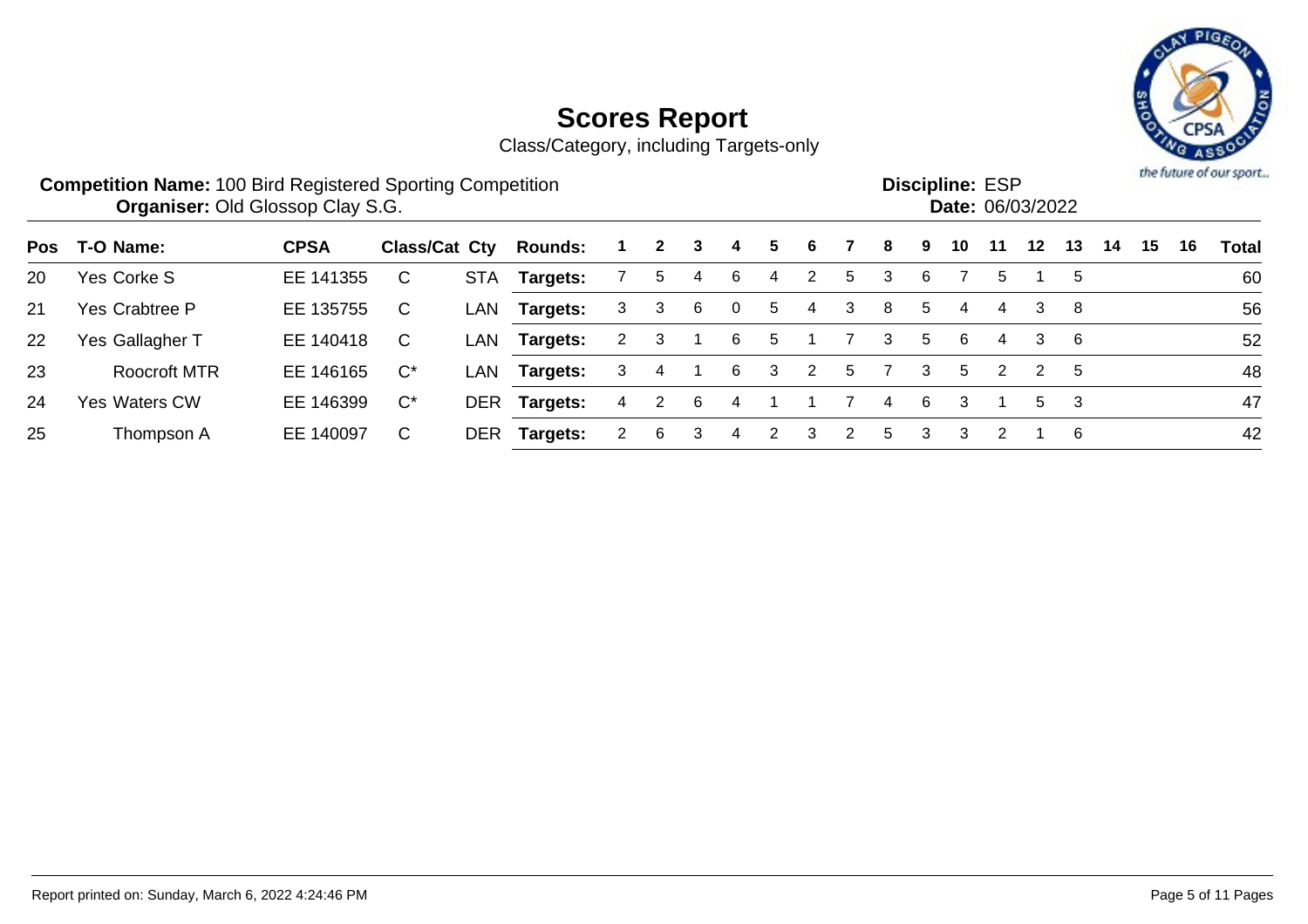

|     | <b>Competition Name: 100 Bird Registered Sporting Competition</b><br><b>Organiser: Old Glossop Clay S.G.</b> |             |               |            |                |   |              |   |                |   |   |   |    |   | <b>Discipline: ESP</b> |     | Date: 06/03/2022 |     |    |    |    | the future of our sport |
|-----|--------------------------------------------------------------------------------------------------------------|-------------|---------------|------------|----------------|---|--------------|---|----------------|---|---|---|----|---|------------------------|-----|------------------|-----|----|----|----|-------------------------|
| Pos | T-O Name:                                                                                                    | <b>CPSA</b> | Class/Cat Cty |            | <b>Rounds:</b> |   | $\mathbf{2}$ | 3 | 4              | 5 | 6 |   | 8  | 9 | 10                     | -11 | 12               | 13  | 14 | 15 | 16 | Total                   |
| 20  | Yes Corke S                                                                                                  | EE 141355   | $\mathsf{C}$  | <b>STA</b> | Targets:       |   | 5            | 4 | 6              | 4 | 2 | 5 | 3  | 6 |                        | 5   |                  | 5   |    |    |    | 60                      |
| 21  | Yes Crabtree P                                                                                               | EE 135755   | C             | LAN        | Targets:       | 3 | 3            | 6 | $\overline{0}$ | 5 | 4 | 3 | 8  | 5 | 4                      | 4   | 3                | -8  |    |    |    | 56                      |
| 22  | Yes Gallagher T                                                                                              | EE 140418   | C.            | LAN        | Targets:       | 2 | 3            |   | -6             | 5 |   |   | 3  | 5 | 6                      | 4   | 3                | - 6 |    |    |    | 52                      |
| 23  | <b>Roocroft MTR</b>                                                                                          | EE 146165   | $C^*$         | LAN        | Targets:       | 3 | 4            |   | 6              | 3 | 2 | 5 |    | 3 | 5                      | 2   | 2                | -5  |    |    |    | 48                      |
| 24  | <b>Yes Waters CW</b>                                                                                         | EE 146399   | $C^*$         |            | DER Targets:   | 4 | 2            | 6 | 4              |   |   |   | 4  | 6 | 3                      |     | 5.               | 3   |    |    |    | 47                      |
| 25  | Thompson A                                                                                                   | EE 140097   | C             | <b>DER</b> | Targets:       |   | 6            |   | 4              |   | 3 |   | 5. | 3 | 3                      |     |                  | -6  |    |    |    | 42                      |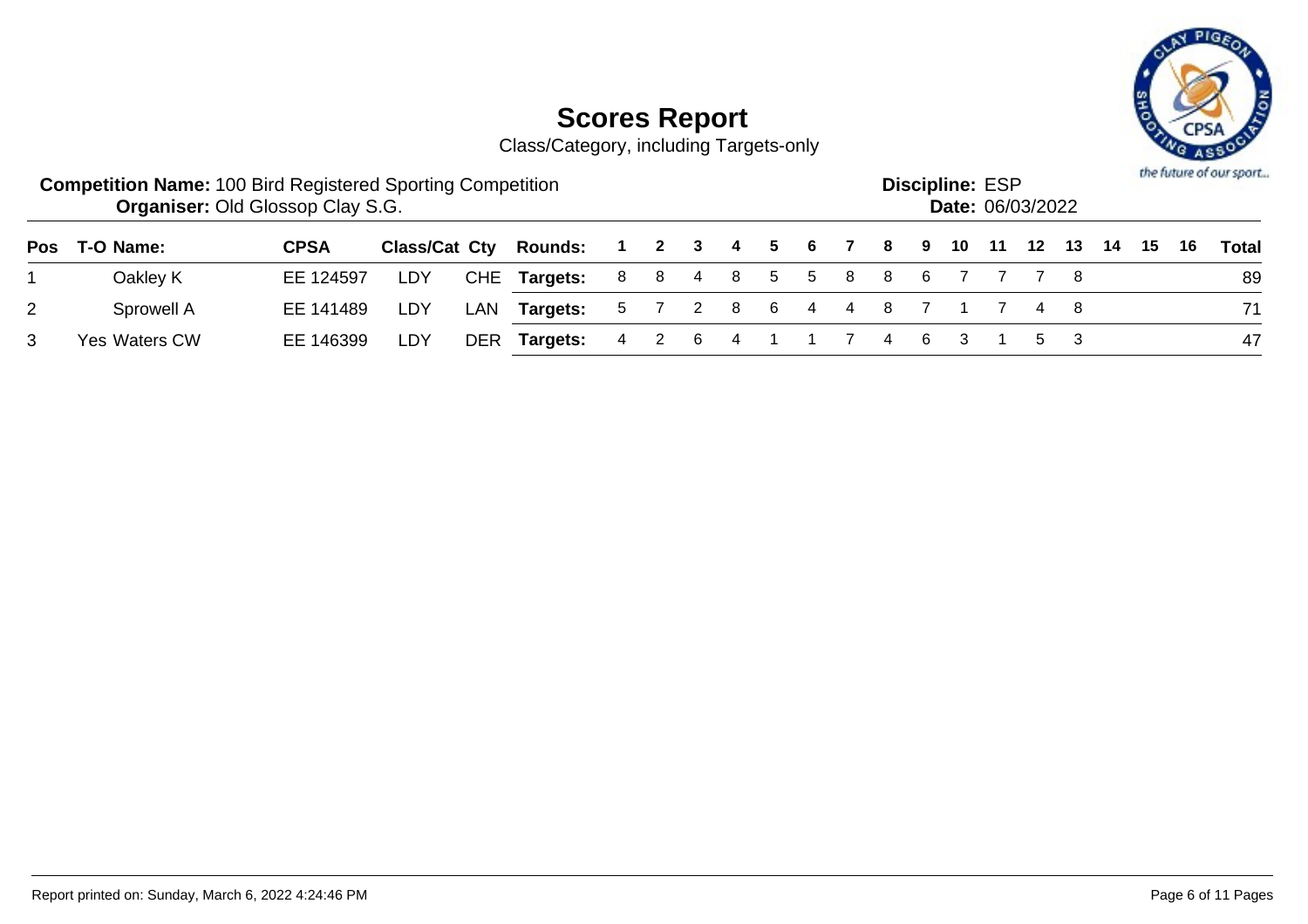

|   | <b>Competition Name: 100 Bird Registered Sporting Competition</b><br><b>Organiser: Old Glossop Clay S.G.</b> |             |     |     |                                                              |                           |         |  |  |         | <b>Discipline: ESP</b><br><b>Date: 06/03/2022</b> |  |     |  | the future of our sport |
|---|--------------------------------------------------------------------------------------------------------------|-------------|-----|-----|--------------------------------------------------------------|---------------------------|---------|--|--|---------|---------------------------------------------------|--|-----|--|-------------------------|
|   | Pos T-O Name:                                                                                                | <b>CPSA</b> |     |     | Class/Cat Cty Rounds: 1 2 3 4 5 6 7 8 9 10 11 12 13 14 15 16 |                           |         |  |  |         |                                                   |  |     |  | Total                   |
|   | Oakley K                                                                                                     | EE 124597   | LDY |     | CHE Targets:                                                 | 8 8 4 8 5 5 8 8 6 7 7 7 8 |         |  |  |         |                                                   |  |     |  | 89                      |
| 2 | Sprowell A                                                                                                   | EE 141489   | LDY | LAN | <b>Targets:</b> 5 7 2 8 6 4 4 8 7 1 7 4 8                    |                           |         |  |  |         |                                                   |  |     |  | 71                      |
|   | Yes Waters CW                                                                                                | EE 146399   | LDY |     | DER Targets:                                                 |                           | 4 2 6 4 |  |  | 7 4 6 3 |                                                   |  | 5 3 |  | 47                      |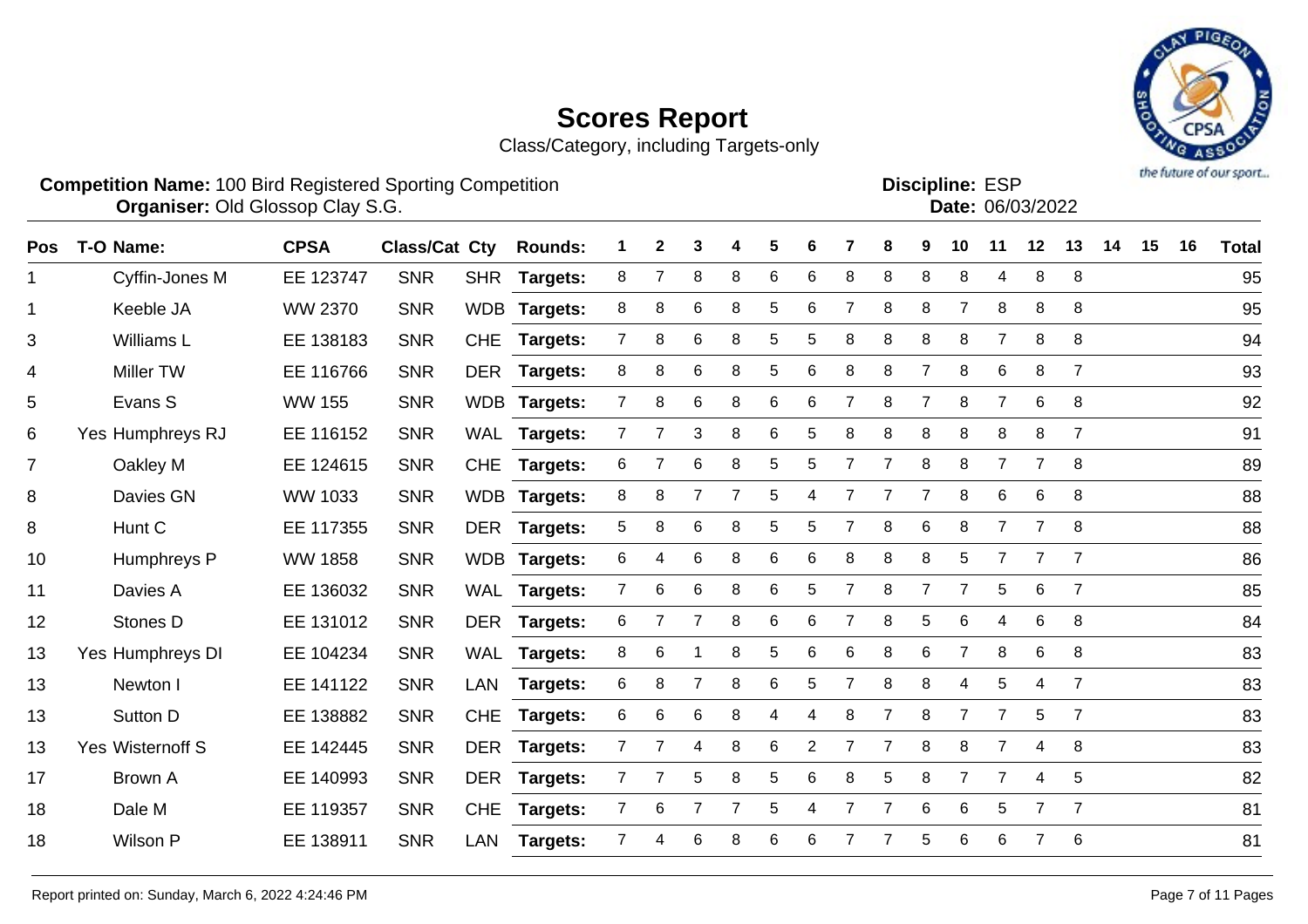

| <b>Competition Name: 100 Bird Registered Sporting Competition</b><br><b>Organiser: Old Glossop Clay S.G.</b> |             |     |                                                              |  |  |  |  |  | <b>Discipline: ESP</b><br><b>Date: 06/03/2022</b> |  |  | the future of our sport |
|--------------------------------------------------------------------------------------------------------------|-------------|-----|--------------------------------------------------------------|--|--|--|--|--|---------------------------------------------------|--|--|-------------------------|
| Pos T-O Name:                                                                                                | <b>CPSA</b> |     | Class/Cat Cty Rounds: 1 2 3 4 5 6 7 8 9 10 11 12 13 14 15 16 |  |  |  |  |  |                                                   |  |  | <b>Total</b>            |
| Cyffin-Jones M                                                                                               | FF 123747   | SNR | SHR Targets: 8 7 8 8 6 6 8 8 8 8 4 8 8                       |  |  |  |  |  |                                                   |  |  | 95                      |

| 1              | Cyffin-Jones M          | EE 123747      | <b>SNR</b> | <b>SHR</b> | <b>Targets:</b> | 8              | 7              | 8              | 8 | 6 | 6 | 8 | 8 | 8              | 8              | 4              | 8              | 8              | 95 |
|----------------|-------------------------|----------------|------------|------------|-----------------|----------------|----------------|----------------|---|---|---|---|---|----------------|----------------|----------------|----------------|----------------|----|
| 1              | Keeble JA               | WW 2370        | <b>SNR</b> |            | WDB Targets:    | 8              | 8              | 6              | 8 | 5 | 6 |   | 8 | 8              | 7              | 8              | 8              | 8              | 95 |
| 3              | Williams L              | EE 138183      | <b>SNR</b> | <b>CHE</b> | <b>Targets:</b> |                | 8              | 6              | 8 | 5 | 5 | 8 | 8 | 8              | 8              |                | 8              | 8              | 94 |
| 4              | <b>Miller TW</b>        | EE 116766      | <b>SNR</b> |            | DER Targets:    | 8              | 8              | 6              | 8 | 5 | 6 | 8 | 8 | 7              | 8              | 6              | 8              | $\overline{7}$ | 93 |
| 5              | Evans S                 | <b>WW 155</b>  | <b>SNR</b> |            | WDB Targets:    |                | 8              | 6              | 8 | 6 | 6 | 7 | 8 | $\overline{7}$ | 8              | 7              | 6              | 8              | 92 |
| 6              | Yes Humphreys RJ        | EE 116152      | <b>SNR</b> |            | WAL Targets:    | $\overline{7}$ | $\overline{7}$ | 3              | 8 | 6 | 5 | 8 | 8 | 8              | 8              | 8              | 8              | $\overline{7}$ | 91 |
| $\overline{7}$ | Oakley M                | EE 124615      | <b>SNR</b> | <b>CHE</b> | <b>Targets:</b> | 6              | $\overline{7}$ | 6              | 8 | 5 | 5 | 7 |   | 8              | 8              | $\overline{7}$ | $\overline{7}$ | 8              | 89 |
| 8              | Davies GN               | WW 1033        | <b>SNR</b> |            | WDB Targets:    | 8              | 8              |                | 7 | 5 | 4 | 7 |   | 7              | 8              | 6              | 6              | 8              | 88 |
| 8              | Hunt C                  | EE 117355      | <b>SNR</b> |            | DER Targets:    | 5              | 8              | 6              | 8 | 5 | 5 |   | 8 | 6              | 8              |                | $\overline{7}$ | 8              | 88 |
| 10             | Humphreys P             | <b>WW 1858</b> | <b>SNR</b> |            | WDB Targets:    | 6              | 4              | 6              | 8 | 6 | 6 | 8 | 8 | 8              | 5              |                | 7              | $\overline{7}$ | 86 |
| 11             | Davies A                | EE 136032      | <b>SNR</b> | WAL        | <b>Targets:</b> |                | 6              | 6              | 8 | 6 | 5 | 7 | 8 | 7              |                | 5              | 6              | $\overline{7}$ | 85 |
| 12             | Stones D                | EE 131012      | <b>SNR</b> | <b>DER</b> | <b>Targets:</b> | 6              | 7              | $\overline{7}$ | 8 | 6 | 6 |   | 8 | 5              | 6              | 4              | 6              | 8              | 84 |
| 13             | Yes Humphreys DI        | EE 104234      | <b>SNR</b> |            | WAL Targets:    | 8              | 6              |                | 8 | 5 | 6 | 6 | 8 | 6              | $\overline{7}$ | 8              | 6              | 8              | 83 |
| 13             | Newton I                | EE 141122      | <b>SNR</b> | <b>LAN</b> | Targets:        | 6              | 8              | $\overline{7}$ | 8 | 6 | 5 | 7 | 8 | 8              | 4              | 5              | 4              | $\overline{7}$ | 83 |
| 13             | Sutton D                | EE 138882      | <b>SNR</b> | <b>CHE</b> | <b>Targets:</b> | 6              | 6              | 6              | 8 | 4 | 4 | 8 |   | 8              |                | 7              | 5              | $\overline{7}$ | 83 |
| 13             | <b>Yes Wisternoff S</b> | EE 142445      | <b>SNR</b> | <b>DER</b> | <b>Targets:</b> |                | 7              | 4              | 8 | 6 | 2 |   |   | 8              | 8              |                | 4              | 8              | 83 |
| 17             | Brown A                 | EE 140993      | <b>SNR</b> | <b>DER</b> | <b>Targets:</b> |                | 7              | 5              | 8 | 5 | 6 | 8 | 5 | 8              |                | 7              | 4              | 5              | 82 |
| 18             | Dale M                  | EE 119357      | <b>SNR</b> | <b>CHE</b> | <b>Targets:</b> |                | 6              |                |   | 5 | 4 |   |   | 6              | 6              | 5              | $\overline{7}$ | $\overline{7}$ | 81 |
| 18             | Wilson P                | EE 138911      | <b>SNR</b> | <b>LAN</b> | <b>Targets:</b> |                | 4              | 6              | 8 | 6 | 6 |   |   | 5              | 6              | 6              | $\overline{7}$ | 6              | 81 |
|                |                         |                |            |            |                 |                |                |                |   |   |   |   |   |                |                |                |                |                |    |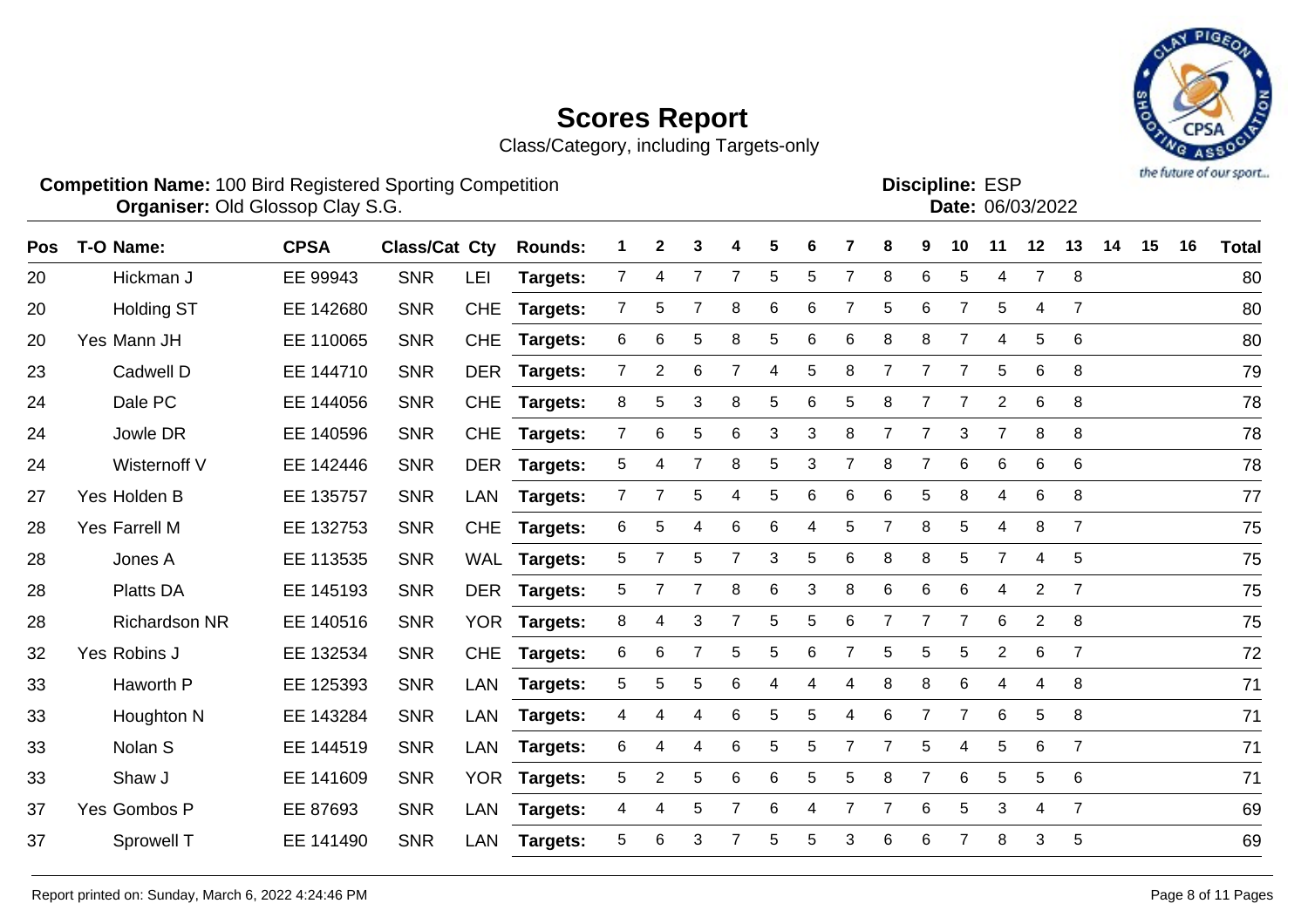Class/Category, including Targets-only



Discipline: ESP<br>Date: 06/03/2022

**Competition Name:** 100 Bird Registered Sporting Competition **EXP EXP Competition EXP Organiser:** Old Glossop Clay S.G. **Community Contract Contract Contract Contract Contract Contract Contract Contract Contract Contract Contract Contract Contract Contract Contract Contract Contract Contract Contract Contr** 

| Pos | T-O Name:            | <b>CPSA</b> | <b>Class/Cat Cty</b> |            | <b>Rounds:</b>  |                | 2              | 3 |   | 5 | 6 |   | 8              | 9              | 10             | 11             | 12             | 13             | 14 | 15 | 16 | <b>Total</b> |
|-----|----------------------|-------------|----------------------|------------|-----------------|----------------|----------------|---|---|---|---|---|----------------|----------------|----------------|----------------|----------------|----------------|----|----|----|--------------|
| 20  | Hickman J            | EE 99943    | <b>SNR</b>           | LEI        | Targets:        | $\overline{7}$ | 4              | 7 | 7 | 5 | 5 | 7 | 8              | 6              | 5              | 4              | $\overline{7}$ | 8              |    |    |    | 80           |
| 20  | <b>Holding ST</b>    | EE 142680   | <b>SNR</b>           | <b>CHE</b> | <b>Targets:</b> | $\overline{7}$ | 5              | 7 | 8 | 6 | 6 | 7 | 5              | 6              | 7              | 5              | 4              | $\overline{7}$ |    |    |    | 80           |
| 20  | Yes Mann JH          | EE 110065   | <b>SNR</b>           | <b>CHE</b> | <b>Targets:</b> | 6              | 6              | 5 | 8 | 5 | 6 | 6 | 8              | 8              | 7              | 4              | 5              | 6              |    |    |    | 80           |
| 23  | Cadwell D            | EE 144710   | <b>SNR</b>           | <b>DER</b> | <b>Targets:</b> | $\overline{7}$ | $\overline{2}$ | 6 |   | 4 | 5 | 8 | $\overline{7}$ | $\overline{7}$ | $\overline{7}$ | 5              | $\,6$          | 8              |    |    |    | 79           |
| 24  | Dale PC              | EE 144056   | <b>SNR</b>           | <b>CHE</b> | Targets:        | 8              | 5              | 3 | 8 | 5 | 6 | 5 | 8              | 7              | 7              | $\overline{2}$ | $\,6$          | 8              |    |    |    | 78           |
| 24  | Jowle DR             | EE 140596   | <b>SNR</b>           | <b>CHE</b> | <b>Targets:</b> | $\overline{7}$ | 6              | 5 | 6 | 3 | 3 | 8 |                |                | 3              | $\overline{7}$ | 8              | 8              |    |    |    | 78           |
| 24  | Wisternoff V         | EE 142446   | <b>SNR</b>           | <b>DER</b> | <b>Targets:</b> | 5              | 4              | 7 | 8 | 5 | 3 |   | 8              | 7              | 6              | 6              | $\,6$          | $\,6$          |    |    |    | 78           |
| 27  | Yes Holden B         | EE 135757   | <b>SNR</b>           | <b>LAN</b> | <b>Targets:</b> | $\overline{7}$ | 7              | 5 | 4 | 5 | 6 | 6 | 6              | 5              | 8              | 4              | 6              | 8              |    |    |    | 77           |
| 28  | Yes Farrell M        | EE 132753   | <b>SNR</b>           | <b>CHE</b> | <b>Targets:</b> | 6              | 5              | 4 | 6 | 6 | 4 | 5 | 7              | 8              | 5              | 4              | 8              | $\overline{7}$ |    |    |    | 75           |
| 28  | Jones A              | EE 113535   | <b>SNR</b>           |            | WAL Targets:    | 5              | 7              | 5 |   | 3 | 5 | 6 | 8              | 8              | 5              | $\overline{7}$ | 4              | 5              |    |    |    | 75           |
| 28  | <b>Platts DA</b>     | EE 145193   | <b>SNR</b>           | <b>DER</b> | <b>Targets:</b> | 5              | 7              | 7 | 8 | 6 | 3 | 8 | 6              | 6              | 6              | 4              | $\overline{2}$ | $\overline{7}$ |    |    |    | 75           |
| 28  | <b>Richardson NR</b> | EE 140516   | <b>SNR</b>           | <b>YOR</b> | <b>Targets:</b> | 8              | 4              | 3 |   | 5 | 5 | 6 | 7              | $\overline{7}$ | $\overline{7}$ | 6              | $\overline{2}$ | 8              |    |    |    | 75           |
| 32  | Yes Robins J         | EE 132534   | <b>SNR</b>           | <b>CHE</b> | <b>Targets:</b> | 6              | 6              | 7 | 5 | 5 | 6 |   | 5              | 5              | 5              | $\overline{2}$ | 6              | $\overline{7}$ |    |    |    | 72           |
| 33  | Haworth P            | EE 125393   | <b>SNR</b>           | LAN        | <b>Targets:</b> | 5              | 5              | 5 | 6 | 4 | 4 | 4 | 8              | 8              | 6              | 4              | 4              | 8              |    |    |    | 71           |
| 33  | Houghton N           | EE 143284   | <b>SNR</b>           | <b>LAN</b> | Targets:        | 4              | 4              | 4 | 6 | 5 | 5 | 4 | 6              | $\overline{7}$ | $\overline{7}$ | 6              | $\sqrt{5}$     | 8              |    |    |    | 71           |
| 33  | Nolan S              | EE 144519   | <b>SNR</b>           | <b>LAN</b> | Targets:        | 6              | 4              | 4 | 6 | 5 | 5 | 7 | $\overline{7}$ | 5              | 4              | 5              | 6              | $\overline{7}$ |    |    |    | 71           |
| 33  | Shaw J               | EE 141609   | <b>SNR</b>           | <b>YOR</b> | <b>Targets:</b> | 5              | 2              | 5 | 6 | 6 | 5 | 5 | 8              | 7              | 6              | 5              | 5              | 6              |    |    |    | 71           |
| 37  | Yes Gombos P         | EE 87693    | <b>SNR</b>           | <b>LAN</b> | Targets:        | 4              | 4              | 5 |   | 6 | 4 |   |                | 6              | 5              | 3              | $\overline{4}$ | $\overline{7}$ |    |    |    | 69           |
| 37  | Sprowell T           | EE 141490   | <b>SNR</b>           | LAN        | <b>Targets:</b> | 5              | 6              | 3 |   | 5 | 5 | 3 | 6              | 6              |                | 8              | 3              | 5              |    |    |    | 69           |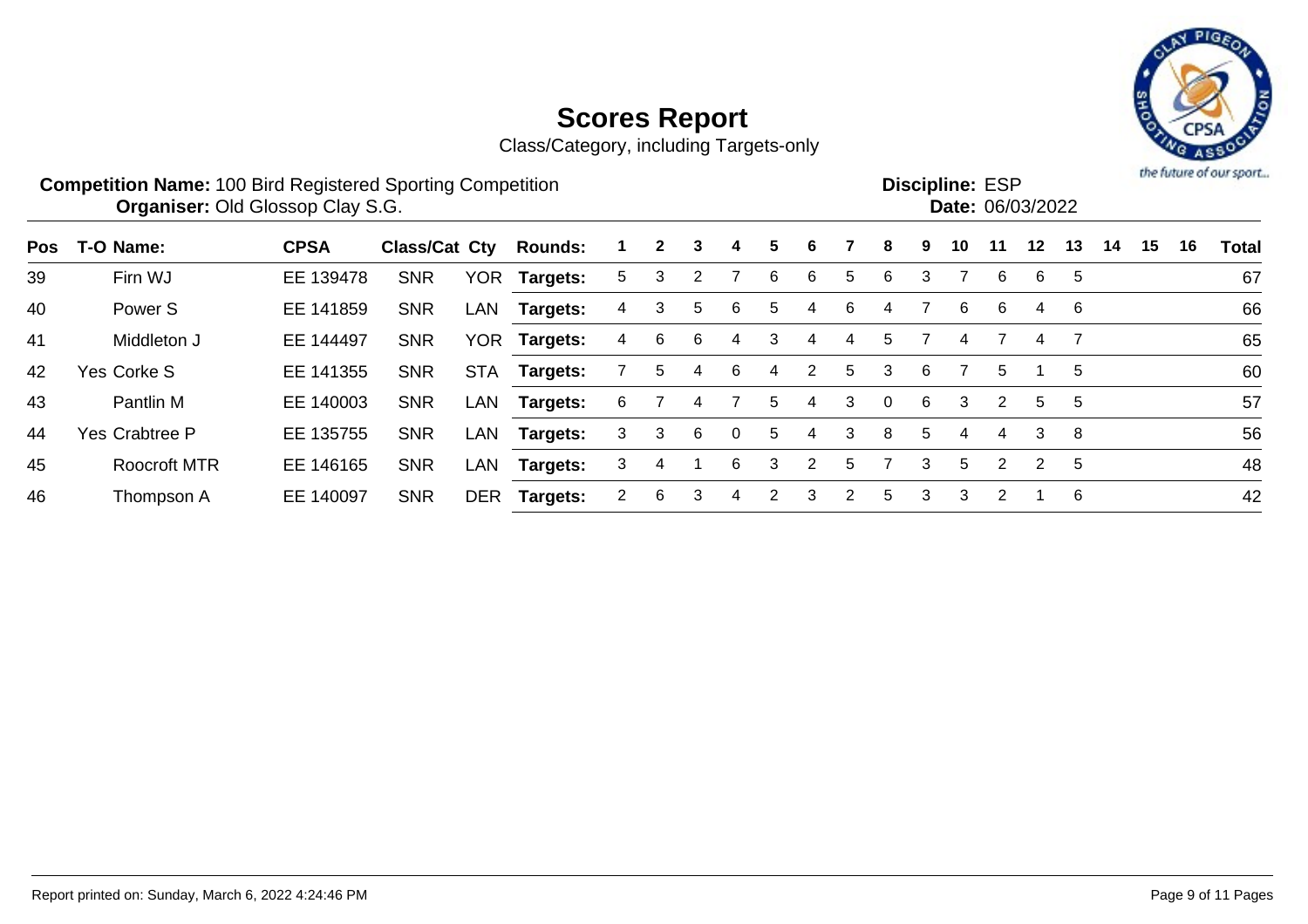

| <b>Competition Name: 100 Bird Registered Sporting Competition</b><br><b>Discipline: ESP</b><br><b>Organiser: Old Glossop Clay S.G.</b><br>Date: 06/03/2022 |                     |             |                      |            |                 |    |              |   |          |   |                |                |              |    | the future of our sport. |                |                |    |    |    |    |       |
|------------------------------------------------------------------------------------------------------------------------------------------------------------|---------------------|-------------|----------------------|------------|-----------------|----|--------------|---|----------|---|----------------|----------------|--------------|----|--------------------------|----------------|----------------|----|----|----|----|-------|
| Pos                                                                                                                                                        | T-O Name:           | <b>CPSA</b> | <b>Class/Cat Cty</b> |            | <b>Rounds:</b>  |    | $\mathbf{2}$ | 3 | 4        | 5 | 6              |                | 8            | 9  | 10                       | 11             | $12 \,$        | 13 | 14 | 15 | 16 | Total |
| 39                                                                                                                                                         | Firn WJ             | EE 139478   | <b>SNR</b>           | <b>YOR</b> | Targets:        | 5. | 3            | 2 |          | 6 | 6              | 5              | 6            | 3  |                          | 6              | 6              | 5  |    |    |    | 67    |
| 40                                                                                                                                                         | Power <sub>S</sub>  | EE 141859   | <b>SNR</b>           | LAN        | <b>Targets:</b> | 4  | 3            | 5 | 6.       | 5 | 4              | 6              | 4            |    | 6                        | 6              | 4              | 6  |    |    |    | 66    |
| 41                                                                                                                                                         | Middleton J         | EE 144497   | <b>SNR</b>           | <b>YOR</b> | <b>Targets:</b> | 4  | 6            | 6 | 4        | 3 | 4              | 4              | 5            |    | 4                        |                | 4              |    |    |    |    | 65    |
| 42                                                                                                                                                         | Yes Corke S         | EE 141355   | <b>SNR</b>           | <b>STA</b> | Targets:        |    | 5.           | 4 | 6        | 4 | 2              | 5              | 3            | 6. |                          | 5              |                | 5  |    |    |    | 60    |
| 43                                                                                                                                                         | Pantlin M           | EE 140003   | <b>SNR</b>           | LAN        | Targets:        | 6  |              | 4 |          | 5 | 4              | 3              | $\mathbf{0}$ | 6  | 3                        | 2              | 5              | 5  |    |    |    | 57    |
| 44                                                                                                                                                         | Yes Crabtree P      | EE 135755   | <b>SNR</b>           | LAN        | Targets:        | 3  | 3            | 6 | $\Omega$ | 5 | 4              | 3              | 8            | 5. | 4                        | 4              | 3              | 8  |    |    |    | 56    |
| 45                                                                                                                                                         | <b>Roocroft MTR</b> | EE 146165   | <b>SNR</b>           | LAN        | Targets:        | 3  | 4            |   | 6        | 3 | $\overline{2}$ | 5              |              | 3  | 5                        | 2              | $\overline{2}$ | 5  |    |    |    | 48    |
| 46                                                                                                                                                         | Thompson A          | EE 140097   | <b>SNR</b>           | DER        | Targets:        | 2  | 6            | 3 | 4        | 2 | 3              | $\overline{2}$ | 5            | 3  | 3                        | $\overline{2}$ |                | 6  |    |    |    | 42    |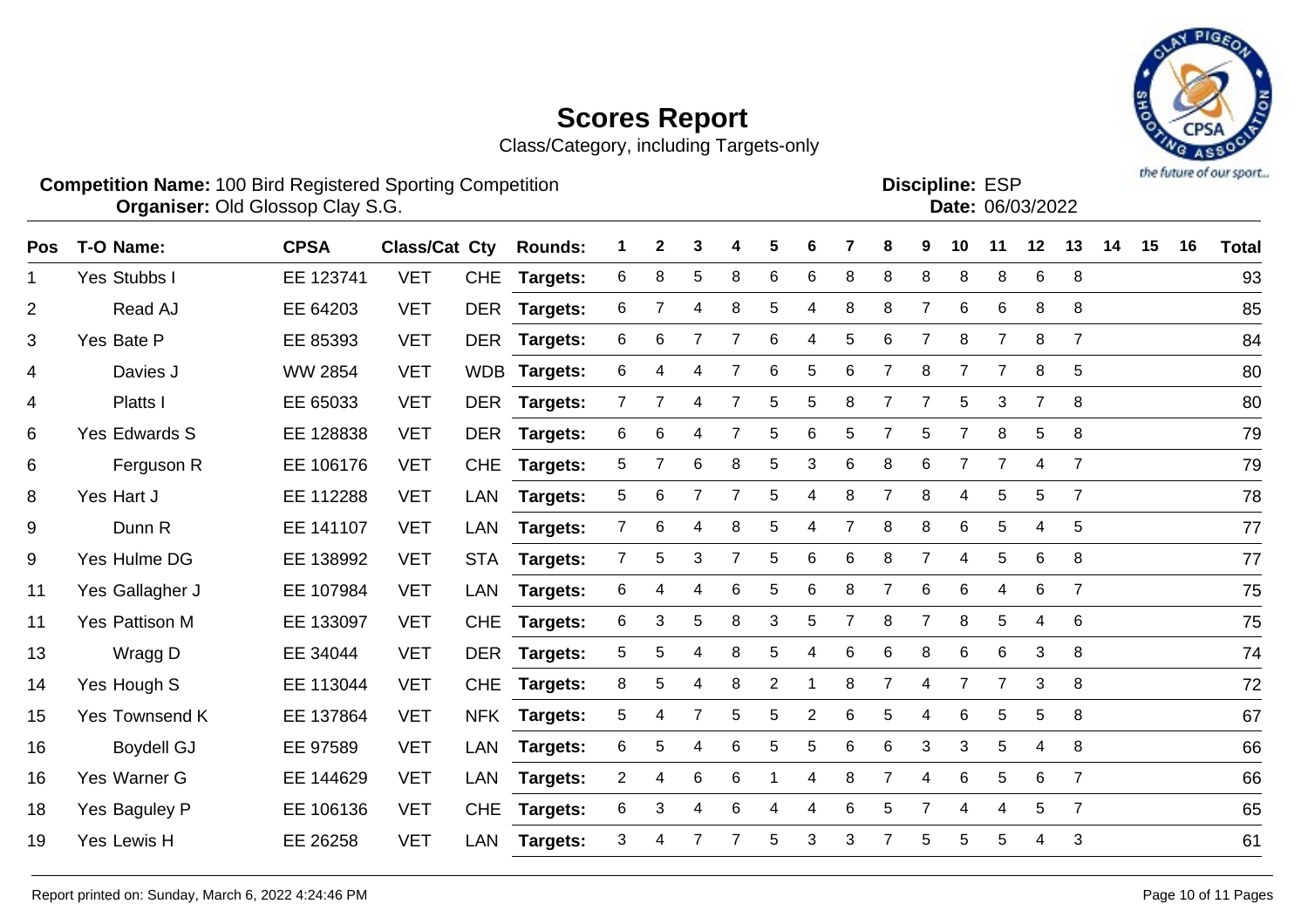Class/Category, including Targets-only



**Competition Name:** 100 Bird Registered Sporting Competition **EXP EXP Competition EXP Organiser:** Old Glossop Clay S.G. **Community Contract Contract Contract Contract Contract Contract Contract Contract Contract Contract Contract Contract Contract Contract Contract Contract Contract Contract Contract Contr** Discipline: ESP<br>Date: 06/03/2022

| <b>Pos</b>     | T-O Name:         | <b>CPSA</b>    | <b>Class/Cat Cty</b> |            | <b>Rounds:</b>  | 1.             | $\mathbf{2}$ | 3              |   | 5              | 6              |   | 8              | 9              | 10              | 11             | 12             | 13             | 14 | 15 | 16 | <b>Total</b> |
|----------------|-------------------|----------------|----------------------|------------|-----------------|----------------|--------------|----------------|---|----------------|----------------|---|----------------|----------------|-----------------|----------------|----------------|----------------|----|----|----|--------------|
| $\mathbf 1$    | Yes Stubbs I      | EE 123741      | <b>VET</b>           | <b>CHE</b> | <b>Targets:</b> | 6              | 8            | 5              | 8 | $\,6$          | 6              | 8 | 8              | 8              | 8               | 8              | $\,6$          | 8              |    |    |    | 93           |
| $\overline{2}$ | Read AJ           | EE 64203       | <b>VET</b>           | <b>DER</b> | <b>Targets:</b> | 6              | 7            | 4              | 8 | 5              | 4              | 8 | 8              |                | 6               | 6              | 8              | 8              |    |    |    | 85           |
| 3              | Yes Bate P        | EE 85393       | <b>VET</b>           | <b>DER</b> | Targets:        | 6              | 6            | 7              |   | 6              | 4              | 5 | 6              |                | 8               | $\overline{7}$ | 8              | $\overline{7}$ |    |    |    | 84           |
| 4              | Davies J          | <b>WW 2854</b> | <b>VET</b>           |            | WDB Targets:    | 6              | 4            | 4              | 7 | 6              | 5              | 6 | $\overline{7}$ | 8              | 7               | $\overline{7}$ | 8              | 5              |    |    |    | 80           |
| 4              | Platts I          | EE 65033       | <b>VET</b>           |            | DER Targets:    | $\overline{7}$ |              | 4              |   | 5              | 5              | 8 | 7              |                | 5               | 3              | $\overline{7}$ | 8              |    |    |    | 80           |
| 6              | Yes Edwards S     | EE 128838      | <b>VET</b>           | <b>DER</b> | Targets:        | 6              | 6            | 4              |   | 5              | 6              | 5 | 7              | 5              | $\overline{7}$  | 8              | 5              | 8              |    |    |    | 79           |
| 6              | Ferguson R        | EE 106176      | <b>VET</b>           | <b>CHE</b> | Targets:        | 5              | 7            | 6              | 8 | 5              | 3              | 6 | 8              | 6              | $\overline{7}$  | $\overline{7}$ | 4              | $\overline{7}$ |    |    |    | 79           |
| 8              | Yes Hart J        | EE 112288      | <b>VET</b>           | LAN        | Targets:        | 5              | 6            | 7              | 7 | 5              | 4              | 8 | 7              | 8              | 4               | 5              | 5              | 7              |    |    |    | 78           |
| 9              | Dunn R            | EE 141107      | <b>VET</b>           | LAN        | Targets:        | $\overline{7}$ | 6            | 4              | 8 | 5              | 4              |   | 8              | 8              | 6               | 5              | 4              | 5              |    |    |    | 77           |
| 9              | Yes Hulme DG      | EE 138992      | <b>VET</b>           | <b>STA</b> | Targets:        | $\overline{7}$ | 5            | 3              |   | $\mathbf 5$    | 6              | 6 | 8              |                | $\overline{4}$  | 5              | $\,6$          | 8              |    |    |    | 77           |
| 11             | Yes Gallagher J   | EE 107984      | <b>VET</b>           | LAN        | Targets:        | 6              | 4            | 4              | 6 | 5              | 6              | 8 | $\overline{7}$ | 6              | $6\phantom{1}6$ | 4              | $\,6$          | $\overline{7}$ |    |    |    | 75           |
| 11             | Yes Pattison M    | EE 133097      | <b>VET</b>           | <b>CHE</b> | <b>Targets:</b> | 6              | 3            | 5              | 8 | 3              | 5              |   | 8              | $\overline{7}$ | 8               | 5              | 4              | 6              |    |    |    | 75           |
| 13             | Wragg D           | EE 34044       | <b>VET</b>           | <b>DER</b> | <b>Targets:</b> | 5              | 5            | 4              | 8 | 5              | 4              | 6 | 6              | 8              | 6               | 6              | 3              | 8              |    |    |    | 74           |
| 14             | Yes Hough S       | EE 113044      | <b>VET</b>           | <b>CHE</b> | Targets:        | 8              | 5            | 4              | 8 | $\overline{2}$ |                | 8 | 7              | 4              | 7               | $\overline{7}$ | 3              | 8              |    |    |    | 72           |
| 15             | Yes Townsend K    | EE 137864      | <b>VET</b>           | <b>NFK</b> | Targets:        | 5              | 4            | $\overline{7}$ | 5 | 5              | $\overline{c}$ | 6 | 5              | 4              | 6               | 5              | 5              | 8              |    |    |    | 67           |
| 16             | <b>Boydell GJ</b> | EE 97589       | <b>VET</b>           | LAN        | <b>Targets:</b> | 6              | 5            | 4              | 6 | 5              | 5              | 6 | 6              | 3              | 3               | 5              | 4              | 8              |    |    |    | 66           |
| 16             | Yes Warner G      | EE 144629      | <b>VET</b>           | LAN        | <b>Targets:</b> | $\overline{2}$ | 4            | 6              | 6 |                | 4              | 8 | 7              | 4              | 6               | 5              | 6              | $\overline{7}$ |    |    |    | 66           |
| 18             | Yes Baguley P     | EE 106136      | <b>VET</b>           | <b>CHE</b> | Targets:        | 6              | 3            | 4              | 6 | 4              | 4              | 6 | 5              |                | $\overline{4}$  | 4              | 5              | 7              |    |    |    | 65           |
| 19             | Yes Lewis H       | EE 26258       | <b>VET</b>           | LAN        | Targets:        | 3              | 4            | 7              |   | 5              | 3              | 3 | 7              | 5              | 5               | 5              | 4              | 3              |    |    |    | 61           |